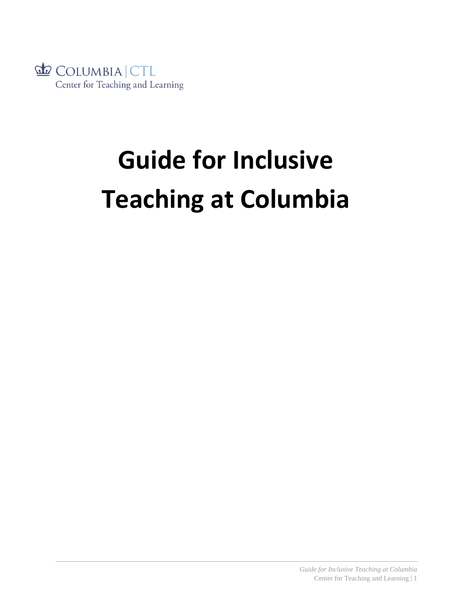

# **Guide for Inclusive Teaching at Columbia**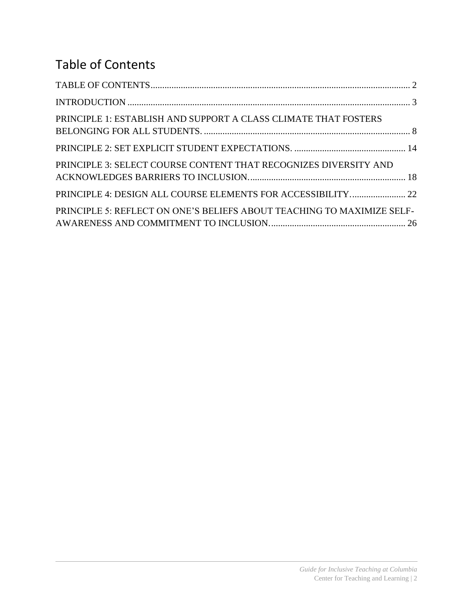# <span id="page-1-0"></span>Table of Contents

| PRINCIPLE 1: ESTABLISH AND SUPPORT A CLASS CLIMATE THAT FOSTERS        |  |
|------------------------------------------------------------------------|--|
|                                                                        |  |
| PRINCIPLE 3: SELECT COURSE CONTENT THAT RECOGNIZES DIVERSITY AND       |  |
| PRINCIPLE 4: DESIGN ALL COURSE ELEMENTS FOR ACCESSIBILITY 22           |  |
| PRINCIPLE 5: REFLECT ON ONE'S BELIEFS ABOUT TEACHING TO MAXIMIZE SELF- |  |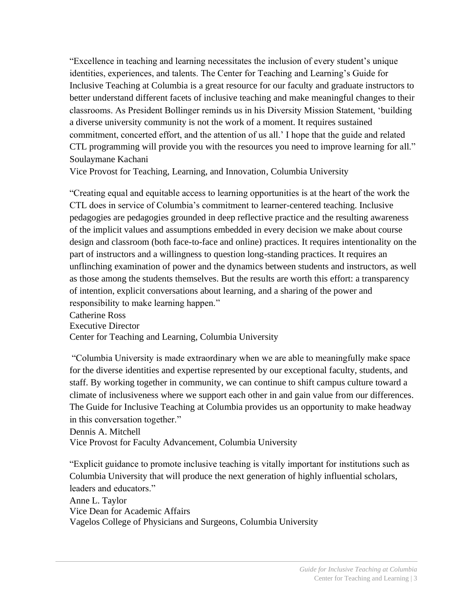<span id="page-2-0"></span>"Excellence in teaching and learning necessitates the inclusion of every student's unique identities, experiences, and talents. The Center for Teaching and Learning's Guide for Inclusive Teaching at Columbia is a great resource for our faculty and graduate instructors to better understand different facets of inclusive teaching and make meaningful changes to their classrooms. As President Bollinger reminds us in his Diversity Mission Statement, 'building a diverse university community is not the work of a moment. It requires sustained commitment, concerted effort, and the attention of us all.' I hope that the guide and related CTL programming will provide you with the resources you need to improve learning for all." Soulaymane Kachani

Vice Provost for Teaching, Learning, and Innovation, Columbia University

"Creating equal and equitable access to learning opportunities is at the heart of the work the CTL does in service of Columbia's commitment to learner-centered teaching. Inclusive pedagogies are pedagogies grounded in deep reflective practice and the resulting awareness of the implicit values and assumptions embedded in every decision we make about course design and classroom (both face-to-face and online) practices. It requires intentionality on the part of instructors and a willingness to question long-standing practices. It requires an unflinching examination of power and the dynamics between students and instructors, as well as those among the students themselves. But the results are worth this effort: a transparency of intention, explicit conversations about learning, and a sharing of the power and responsibility to make learning happen."

Catherine Ross Executive Director Center for Teaching and Learning, Columbia University

"Columbia University is made extraordinary when we are able to meaningfully make space for the diverse identities and expertise represented by our exceptional faculty, students, and staff. By working together in community, we can continue to shift campus culture toward a climate of inclusiveness where we support each other in and gain value from our differences. The Guide for Inclusive Teaching at Columbia provides us an opportunity to make headway in this conversation together."

Dennis A. Mitchell

Vice Provost for Faculty Advancement, Columbia University

"Explicit guidance to promote inclusive teaching is vitally important for institutions such as Columbia University that will produce the next generation of highly influential scholars, leaders and educators."

Anne L. Taylor Vice Dean for Academic Affairs Vagelos College of Physicians and Surgeons, Columbia University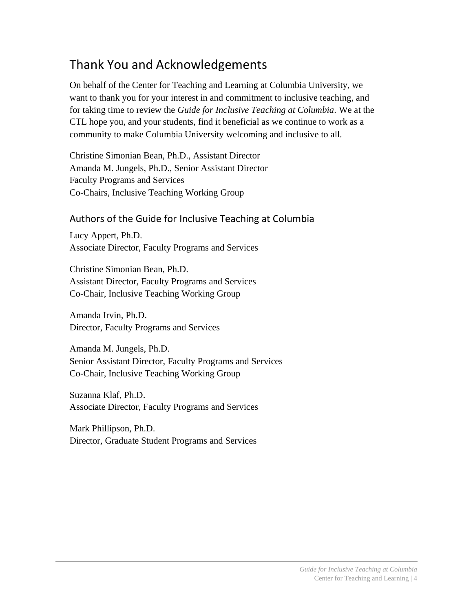## Thank You and Acknowledgements

On behalf of the Center for Teaching and Learning at Columbia University, we want to thank you for your interest in and commitment to inclusive teaching, and for taking time to review the *Guide for Inclusive Teaching at Columbia*. We at the CTL hope you, and your students, find it beneficial as we continue to work as a community to make Columbia University welcoming and inclusive to all.

Christine Simonian Bean, Ph.D., Assistant Director Amanda M. Jungels, Ph.D., Senior Assistant Director Faculty Programs and Services Co-Chairs, Inclusive Teaching Working Group

#### Authors of the Guide for Inclusive Teaching at Columbia

Lucy Appert, Ph.D. Associate Director, Faculty Programs and Services

Christine Simonian Bean, Ph.D. Assistant Director, Faculty Programs and Services Co-Chair, Inclusive Teaching Working Group

Amanda Irvin, Ph.D. Director, Faculty Programs and Services

Amanda M. Jungels, Ph.D. Senior Assistant Director, Faculty Programs and Services Co-Chair, Inclusive Teaching Working Group

Suzanna Klaf, Ph.D. Associate Director, Faculty Programs and Services

Mark Phillipson, Ph.D. Director, Graduate Student Programs and Services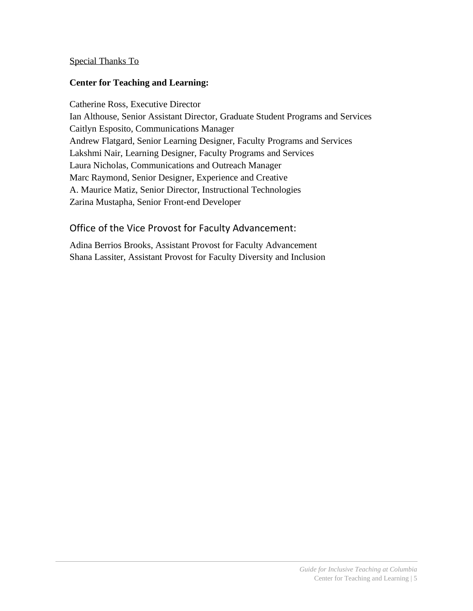#### Special Thanks To

#### **Center for Teaching and Learning:**

Catherine Ross, Executive Director Ian Althouse, Senior Assistant Director, Graduate Student Programs and Services Caitlyn Esposito, Communications Manager Andrew Flatgard, Senior Learning Designer, Faculty Programs and Services Lakshmi Nair, Learning Designer, Faculty Programs and Services Laura Nicholas, Communications and Outreach Manager Marc Raymond, Senior Designer, Experience and Creative A. Maurice Matiz, Senior Director, Instructional Technologies Zarina Mustapha, Senior Front-end Developer

#### Office of the Vice Provost for Faculty Advancement:

Adina Berrios Brooks, Assistant Provost for Faculty Advancement Shana Lassiter, Assistant Provost for Faculty Diversity and Inclusion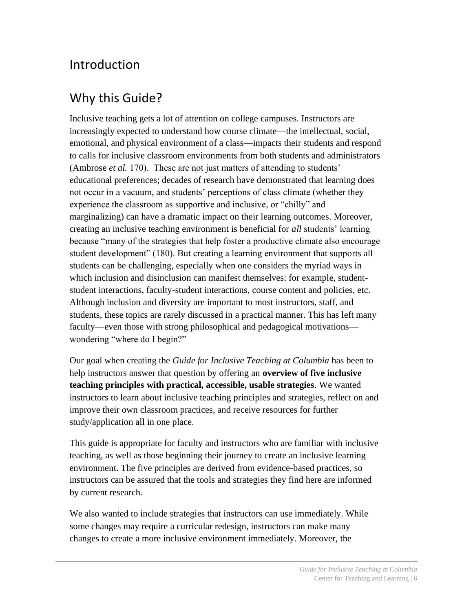## Introduction

# Why this Guide?

Inclusive teaching gets a lot of attention on college campuses. Instructors are increasingly expected to understand how course climate—the intellectual, social, emotional, and physical environment of a class—impacts their students and respond to calls for inclusive classroom environments from both students and administrators (Ambrose *et al.* 170). These are not just matters of attending to students' educational preferences; decades of research have demonstrated that learning does not occur in a vacuum, and students' perceptions of class climate (whether they experience the classroom as supportive and inclusive, or "chilly" and marginalizing) can have a dramatic impact on their learning outcomes. Moreover, creating an inclusive teaching environment is beneficial for *all* students' learning because "many of the strategies that help foster a productive climate also encourage student development" (180). But creating a learning environment that supports all students can be challenging, especially when one considers the myriad ways in which inclusion and disinclusion can manifest themselves: for example, studentstudent interactions, faculty-student interactions, course content and policies, etc. Although inclusion and diversity are important to most instructors, staff, and students, these topics are rarely discussed in a practical manner. This has left many faculty—even those with strong philosophical and pedagogical motivations wondering "where do I begin?"

Our goal when creating the *Guide for Inclusive Teaching at Columbia* has been to help instructors answer that question by offering an **overview of five inclusive teaching principles with practical, accessible, usable strategies**. We wanted instructors to learn about inclusive teaching principles and strategies, reflect on and improve their own classroom practices, and receive resources for further study/application all in one place.

This guide is appropriate for faculty and instructors who are familiar with inclusive teaching, as well as those beginning their journey to create an inclusive learning environment. The five principles are derived from evidence-based practices, so instructors can be assured that the tools and strategies they find here are informed by current research.

We also wanted to include strategies that instructors can use immediately. While some changes may require a curricular redesign, instructors can make many changes to create a more inclusive environment immediately. Moreover, the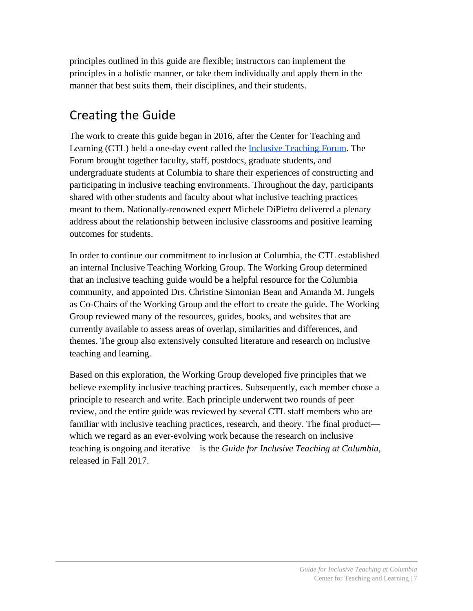principles outlined in this guide are flexible; instructors can implement the principles in a holistic manner, or take them individually and apply them in the manner that best suits them, their disciplines, and their students.

# Creating the Guide

The work to create this guide began in 2016, after the Center for Teaching and Learning (CTL) held a one-day event called the [Inclusive Teaching Forum.](http://ctl.columbia.edu/programs/campus-wide-events/inclusive-teaching-forum/) The Forum brought together faculty, staff, postdocs, graduate students, and undergraduate students at Columbia to share their experiences of constructing and participating in inclusive teaching environments. Throughout the day, participants shared with other students and faculty about what inclusive teaching practices meant to them. Nationally-renowned expert Michele DiPietro delivered a plenary address about the relationship between inclusive classrooms and positive learning outcomes for students.

In order to continue our commitment to inclusion at Columbia, the CTL established an internal Inclusive Teaching Working Group. The Working Group determined that an inclusive teaching guide would be a helpful resource for the Columbia community, and appointed Drs. Christine Simonian Bean and Amanda M. Jungels as Co-Chairs of the Working Group and the effort to create the guide. The Working Group reviewed many of the resources, guides, books, and websites that are currently available to assess areas of overlap, similarities and differences, and themes. The group also extensively consulted literature and research on inclusive teaching and learning.

Based on this exploration, the Working Group developed five principles that we believe exemplify inclusive teaching practices. Subsequently, each member chose a principle to research and write. Each principle underwent two rounds of peer review, and the entire guide was reviewed by several CTL staff members who are familiar with inclusive teaching practices, research, and theory. The final product which we regard as an ever-evolving work because the research on inclusive teaching is ongoing and iterative—is the *Guide for Inclusive Teaching at Columbia*, released in Fall 2017.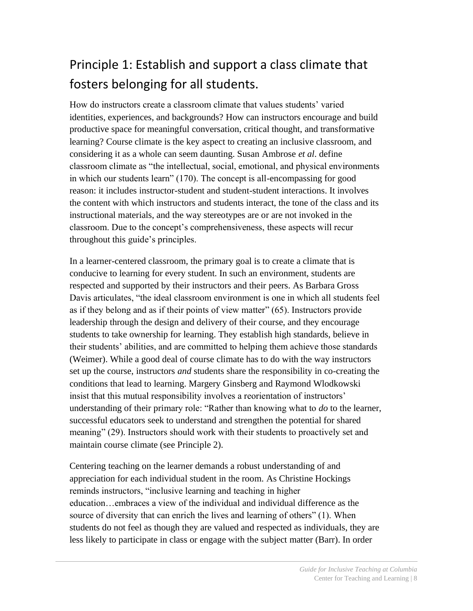# <span id="page-7-0"></span>Principle 1: Establish and support a class climate that fosters belonging for all students.

How do instructors create a classroom climate that values students' varied identities, experiences, and backgrounds? How can instructors encourage and build productive space for meaningful conversation, critical thought, and transformative learning? Course climate is the key aspect to creating an inclusive classroom, and considering it as a whole can seem daunting. Susan Ambrose *et al*. define classroom climate as "the intellectual, social, emotional, and physical environments in which our students learn" (170). The concept is all-encompassing for good reason: it includes instructor-student and student-student interactions. It involves the content with which instructors and students interact, the tone of the class and its instructional materials, and the way stereotypes are or are not invoked in the classroom. Due to the concept's comprehensiveness, these aspects will recur throughout this guide's principles.

In a learner-centered classroom, the primary goal is to create a climate that is conducive to learning for every student. In such an environment, students are respected and supported by their instructors and their peers. As Barbara Gross Davis articulates, "the ideal classroom environment is one in which all students feel as if they belong and as if their points of view matter" (65). Instructors provide leadership through the design and delivery of their course, and they encourage students to take ownership for learning. They establish high standards, believe in their students' abilities, and are committed to helping them achieve those standards (Weimer). While a good deal of course climate has to do with the way instructors set up the course, instructors *and* students share the responsibility in co-creating the conditions that lead to learning. Margery Ginsberg and Raymond Wlodkowski insist that this mutual responsibility involves a reorientation of instructors' understanding of their primary role: "Rather than knowing what to *do* to the learner, successful educators seek to understand and strengthen the potential for shared meaning" (29). Instructors should work with their students to proactively set and maintain course climate (see Principle 2).

Centering teaching on the learner demands a robust understanding of and appreciation for each individual student in the room. As Christine Hockings reminds instructors, "inclusive learning and teaching in higher education…embraces a view of the individual and individual difference as the source of diversity that can enrich the lives and learning of others" (1). When students do not feel as though they are valued and respected as individuals, they are less likely to participate in class or engage with the subject matter (Barr). In order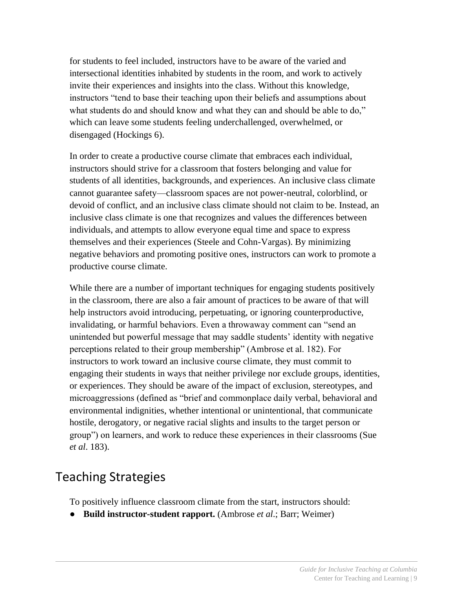for students to feel included, instructors have to be aware of the varied and intersectional identities inhabited by students in the room, and work to actively invite their experiences and insights into the class. Without this knowledge, instructors "tend to base their teaching upon their beliefs and assumptions about what students do and should know and what they can and should be able to do," which can leave some students feeling underchallenged, overwhelmed, or disengaged (Hockings 6).

In order to create a productive course climate that embraces each individual, instructors should strive for a classroom that fosters belonging and value for students of all identities, backgrounds, and experiences. An inclusive class climate cannot guarantee safety—classroom spaces are not power-neutral, colorblind, or devoid of conflict, and an inclusive class climate should not claim to be. Instead, an inclusive class climate is one that recognizes and values the differences between individuals, and attempts to allow everyone equal time and space to express themselves and their experiences (Steele and Cohn-Vargas). By minimizing negative behaviors and promoting positive ones, instructors can work to promote a productive course climate.

While there are a number of important techniques for engaging students positively in the classroom, there are also a fair amount of practices to be aware of that will help instructors avoid introducing, perpetuating, or ignoring counterproductive, invalidating, or harmful behaviors. Even a throwaway comment can "send an unintended but powerful message that may saddle students' identity with negative perceptions related to their group membership" (Ambrose et al. 182). For instructors to work toward an inclusive course climate, they must commit to engaging their students in ways that neither privilege nor exclude groups, identities, or experiences. They should be aware of the impact of exclusion, stereotypes, and microaggressions (defined as "brief and commonplace daily verbal, behavioral and environmental indignities, whether intentional or unintentional, that communicate hostile, derogatory, or negative racial slights and insults to the target person or group") on learners, and work to reduce these experiences in their classrooms (Sue *et al*. 183).

## Teaching Strategies

To positively influence classroom climate from the start, instructors should:

● **Build instructor-student rapport.** (Ambrose *et al*.; Barr; Weimer)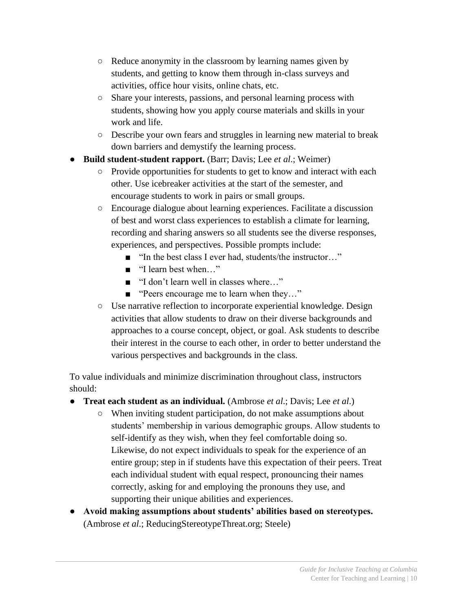- Reduce anonymity in the classroom by learning names given by students, and getting to know them through in-class surveys and activities, office hour visits, online chats, etc.
- Share your interests, passions, and personal learning process with students, showing how you apply course materials and skills in your work and life.
- Describe your own fears and struggles in learning new material to break down barriers and demystify the learning process.
- **Build student-student rapport.** (Barr; Davis; Lee *et al.*; Weimer)
	- Provide opportunities for students to get to know and interact with each other. Use icebreaker activities at the start of the semester, and encourage students to work in pairs or small groups.
	- Encourage dialogue about learning experiences. Facilitate a discussion of best and worst class experiences to establish a climate for learning, recording and sharing answers so all students see the diverse responses, experiences, and perspectives. Possible prompts include:
		- "In the best class I ever had, students/the instructor..."
		- "I learn best when..."
		- "I don't learn well in classes where..."
		- "Peers encourage me to learn when they..."
	- Use narrative reflection to incorporate experiential knowledge. Design activities that allow students to draw on their diverse backgrounds and approaches to a course concept, object, or goal. Ask students to describe their interest in the course to each other, in order to better understand the various perspectives and backgrounds in the class.

To value individuals and minimize discrimination throughout class, instructors should:

- **Treat each student as an individual.** (Ambrose *et al*.; Davis; Lee *et al*.)
	- When inviting student participation, do not make assumptions about students' membership in various demographic groups. Allow students to self-identify as they wish, when they feel comfortable doing so. Likewise, do not expect individuals to speak for the experience of an entire group; step in if students have this expectation of their peers. Treat each individual student with equal respect, pronouncing their names correctly, asking for and employing the pronouns they use, and supporting their unique abilities and experiences.
- **Avoid making assumptions about students' abilities based on stereotypes.**  (Ambrose *et al*.; ReducingStereotypeThreat.org; Steele)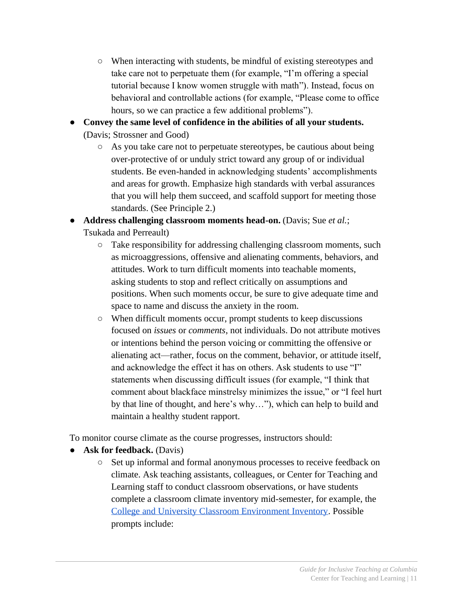- When interacting with students, be mindful of existing stereotypes and take care not to perpetuate them (for example, "I'm offering a special tutorial because I know women struggle with math"). Instead, focus on behavioral and controllable actions (for example, "Please come to office hours, so we can practice a few additional problems").
- **Convey the same level of confidence in the abilities of all your students.** (Davis; Strossner and Good)
	- As you take care not to perpetuate stereotypes, be cautious about being over-protective of or unduly strict toward any group of or individual students. Be even-handed in acknowledging students' accomplishments and areas for growth. Emphasize high standards with verbal assurances that you will help them succeed, and scaffold support for meeting those standards. (See Principle 2.)
- **Address challenging classroom moments head-on.** (Davis; Sue *et al.*; Tsukada and Perreault)
	- Take responsibility for addressing challenging classroom moments, such as microaggressions, offensive and alienating comments, behaviors, and attitudes. Work to turn difficult moments into teachable moments, asking students to stop and reflect critically on assumptions and positions. When such moments occur, be sure to give adequate time and space to name and discuss the anxiety in the room.
	- When difficult moments occur, prompt students to keep discussions focused on *issues* or *comments*, not individuals. Do not attribute motives or intentions behind the person voicing or committing the offensive or alienating act—rather, focus on the comment, behavior, or attitude itself, and acknowledge the effect it has on others. Ask students to use "I" statements when discussing difficult issues (for example, "I think that comment about blackface minstrelsy minimizes the issue," or "I feel hurt by that line of thought, and here's why…"), which can help to build and maintain a healthy student rapport.

To monitor course climate as the course progresses, instructors should:

- **Ask for feedback.** (Davis)
	- Set up informal and formal anonymous processes to receive feedback on climate. Ask teaching assistants, colleagues, or Center for Teaching and Learning staff to conduct classroom observations, or have students complete a classroom climate inventory mid-semester, for example, the [College and University Classroom Environment Inventory.](https://case.edu/ucite/media/caseedu/ucite/documents/College-and-University-Classroom-Environment-Inventory.pdf) Possible prompts include: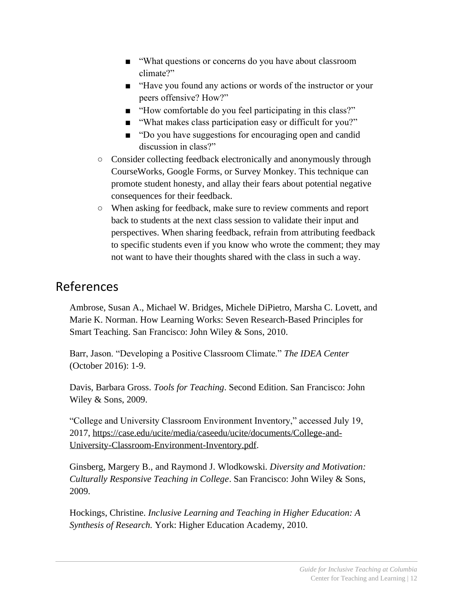- "What questions or concerns do you have about classroom climate?"
- "Have you found any actions or words of the instructor or your peers offensive? How?"
- "How comfortable do you feel participating in this class?"
- "What makes class participation easy or difficult for you?"
- "Do you have suggestions for encouraging open and candid discussion in class?"
- Consider collecting feedback electronically and anonymously through CourseWorks, Google Forms, or Survey Monkey. This technique can promote student honesty, and allay their fears about potential negative consequences for their feedback.
- When asking for feedback, make sure to review comments and report back to students at the next class session to validate their input and perspectives. When sharing feedback, refrain from attributing feedback to specific students even if you know who wrote the comment; they may not want to have their thoughts shared with the class in such a way.

#### References

Ambrose, Susan A., Michael W. Bridges, Michele DiPietro, Marsha C. Lovett, and Marie K. Norman. How Learning Works: Seven Research-Based Principles for Smart Teaching. San Francisco: John Wiley & Sons, 2010.

Barr, Jason. "Developing a Positive Classroom Climate." *The IDEA Center* (October 2016): 1-9.

Davis, Barbara Gross. *Tools for Teaching*. Second Edition. San Francisco: John Wiley & Sons, 2009.

"College and University Classroom Environment Inventory," accessed July 19, 2017, https://case.edu/ucite/media/caseedu/ucite/documents/College-and-University-Classroom-Environment-Inventory.pdf.

Ginsberg, Margery B., and Raymond J. Wlodkowski. *Diversity and Motivation: Culturally Responsive Teaching in College*. San Francisco: John Wiley & Sons, 2009.

Hockings, Christine. *Inclusive Learning and Teaching in Higher Education: A Synthesis of Research.* York: Higher Education Academy, 2010.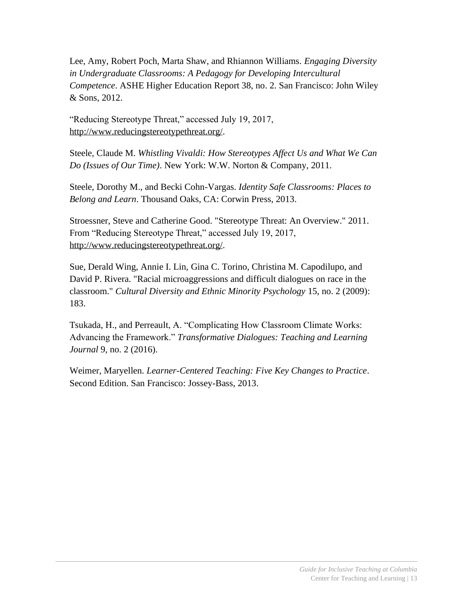Lee, Amy, Robert Poch, Marta Shaw, and Rhiannon Williams. *Engaging Diversity in Undergraduate Classrooms: A Pedagogy for Developing Intercultural Competence*. ASHE Higher Education Report 38, no. 2. San Francisco: John Wiley & Sons, 2012.

"Reducing Stereotype Threat," accessed July 19, 2017, [http://www.reducingstereotypethreat.org/.](http://www.reducingstereotypethreat.org/)

Steele, Claude M. *Whistling Vivaldi: How Stereotypes Affect Us and What We Can Do (Issues of Our Time)*. New York: W.W. Norton & Company, 2011.

Steele, Dorothy M., and Becki Cohn-Vargas. *Identity Safe Classrooms: Places to Belong and Learn*. Thousand Oaks, CA: Corwin Press, 2013.

Stroessner, Steve and Catherine Good. "Stereotype Threat: An Overview." 2011. From "Reducing Stereotype Threat," accessed July 19, 2017, [http://www.reducingstereotypethreat.org/.](http://www.reducingstereotypethreat.org/)

Sue, Derald Wing, Annie I. Lin, Gina C. Torino, Christina M. Capodilupo, and David P. Rivera. "Racial microaggressions and difficult dialogues on race in the classroom." *Cultural Diversity and Ethnic Minority Psychology* 15, no. 2 (2009): 183.

Tsukada, H., and Perreault, A. "Complicating How Classroom Climate Works: Advancing the Framework." *Transformative Dialogues: Teaching and Learning Journal* 9, no. 2 (2016).

Weimer, Maryellen. *Learner-Centered Teaching: Five Key Changes to Practice*. Second Edition. San Francisco: Jossey-Bass, 2013.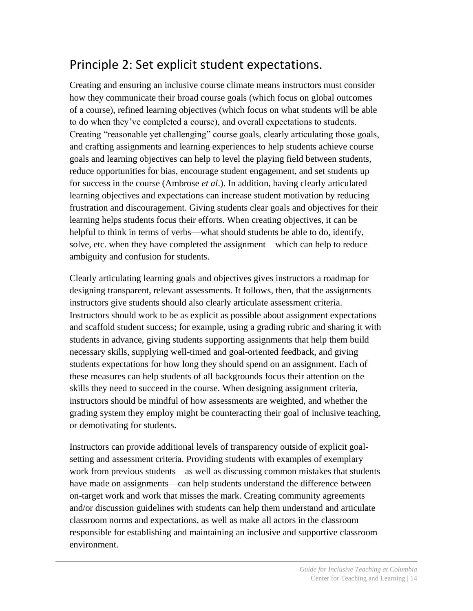# <span id="page-13-0"></span>Principle 2: Set explicit student expectations.

Creating and ensuring an inclusive course climate means instructors must consider how they communicate their broad course goals (which focus on global outcomes of a course), refined learning objectives (which focus on what students will be able to do when they've completed a course), and overall expectations to students. Creating "reasonable yet challenging" course goals, clearly articulating those goals, and crafting assignments and learning experiences to help students achieve course goals and learning objectives can help to level the playing field between students, reduce opportunities for bias, encourage student engagement, and set students up for success in the course (Ambrose *et al*.). In addition, having clearly articulated learning objectives and expectations can increase student motivation by reducing frustration and discouragement. Giving students clear goals and objectives for their learning helps students focus their efforts. When creating objectives, it can be helpful to think in terms of verbs—what should students be able to do, identify, solve, etc. when they have completed the assignment—which can help to reduce ambiguity and confusion for students.

Clearly articulating learning goals and objectives gives instructors a roadmap for designing transparent, relevant assessments. It follows, then, that the assignments instructors give students should also clearly articulate assessment criteria. Instructors should work to be as explicit as possible about assignment expectations and scaffold student success; for example, using a grading rubric and sharing it with students in advance, giving students supporting assignments that help them build necessary skills, supplying well-timed and goal-oriented feedback, and giving students expectations for how long they should spend on an assignment. Each of these measures can help students of all backgrounds focus their attention on the skills they need to succeed in the course. When designing assignment criteria, instructors should be mindful of how assessments are weighted, and whether the grading system they employ might be counteracting their goal of inclusive teaching, or demotivating for students.

Instructors can provide additional levels of transparency outside of explicit goalsetting and assessment criteria. Providing students with examples of exemplary work from previous students—as well as discussing common mistakes that students have made on assignments—can help students understand the difference between on-target work and work that misses the mark. Creating community agreements and/or discussion guidelines with students can help them understand and articulate classroom norms and expectations, as well as make all actors in the classroom responsible for establishing and maintaining an inclusive and supportive classroom environment.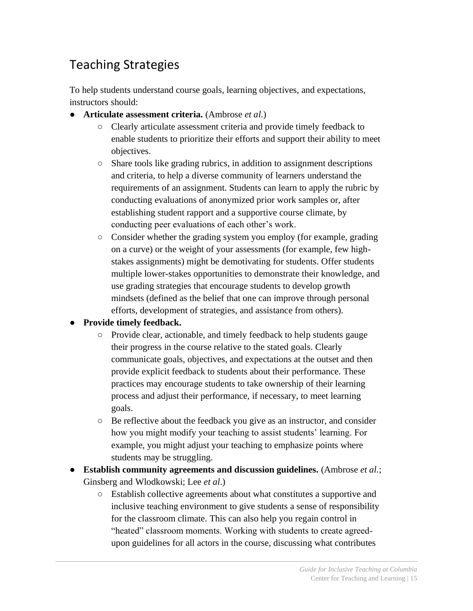# Teaching Strategies

To help students understand course goals, learning objectives, and expectations, instructors should:

- **Articulate assessment criteria.** (Ambrose *et al*.)
	- Clearly articulate assessment criteria and provide timely feedback to enable students to prioritize their efforts and support their ability to meet objectives.
	- Share tools like grading rubrics, in addition to assignment descriptions and criteria, to help a diverse community of learners understand the requirements of an assignment. Students can learn to apply the rubric by conducting evaluations of anonymized prior work samples or, after establishing student rapport and a supportive course climate, by conducting peer evaluations of each other's work.
	- Consider whether the grading system you employ (for example, grading on a curve) or the weight of your assessments (for example, few highstakes assignments) might be demotivating for students. Offer students multiple lower-stakes opportunities to demonstrate their knowledge, and use grading strategies that encourage students to develop growth mindsets (defined as the belief that one can improve through personal efforts, development of strategies, and assistance from others).
- **Provide timely feedback.**
	- Provide clear, actionable, and timely feedback to help students gauge their progress in the course relative to the stated goals. Clearly communicate goals, objectives, and expectations at the outset and then provide explicit feedback to students about their performance. These practices may encourage students to take ownership of their learning process and adjust their performance, if necessary, to meet learning goals.
	- Be reflective about the feedback you give as an instructor, and consider how you might modify your teaching to assist students' learning. For example, you might adjust your teaching to emphasize points where students may be struggling.
- **Establish community agreements and discussion guidelines.** (Ambrose *et al.*; Ginsberg and Wlodkowski; Lee *et al*.)
	- Establish collective agreements about what constitutes a supportive and inclusive teaching environment to give students a sense of responsibility for the classroom climate. This can also help you regain control in "heated" classroom moments. Working with students to create agreedupon guidelines for all actors in the course, discussing what contributes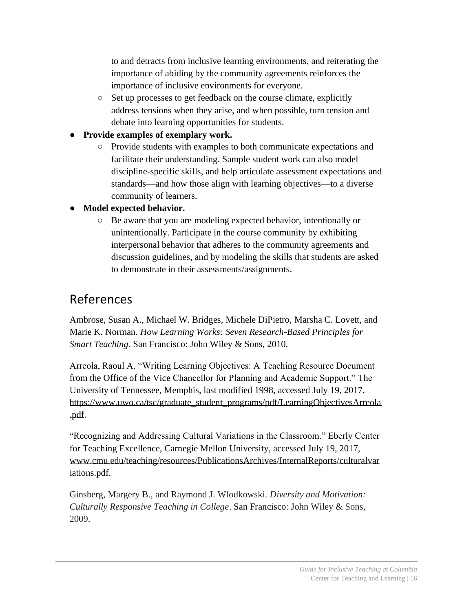to and detracts from inclusive learning environments, and reiterating the importance of abiding by the community agreements reinforces the importance of inclusive environments for everyone.

- Set up processes to get feedback on the course climate, explicitly address tensions when they arise, and when possible, turn tension and debate into learning opportunities for students.
- **Provide examples of exemplary work.**
	- Provide students with examples to both communicate expectations and facilitate their understanding. Sample student work can also model discipline-specific skills, and help articulate assessment expectations and standards—and how those align with learning objectives—to a diverse community of learners.
- **Model expected behavior.** 
	- Be aware that you are modeling expected behavior, intentionally or unintentionally. Participate in the course community by exhibiting interpersonal behavior that adheres to the community agreements and discussion guidelines, and by modeling the skills that students are asked to demonstrate in their assessments/assignments.

#### References

Ambrose, Susan A., Michael W. Bridges, Michele DiPietro, Marsha C. Lovett, and Marie K. Norman. *How Learning Works: Seven Research-Based Principles for Smart Teaching*. San Francisco: John Wiley & Sons, 2010.

Arreola, Raoul A. "Writing Learning Objectives: A Teaching Resource Document from the Office of the Vice Chancellor for Planning and Academic Support." The University of Tennessee, Memphis, last modified 1998, accessed July 19, 2017, https://www.uwo.ca/tsc/graduate\_student\_programs/pdf/LearningObjectivesArreola .pdf.

"Recognizing and Addressing Cultural Variations in the Classroom." Eberly Center for Teaching Excellence, Carnegie Mellon University, accessed July 19, 2017, www.cmu.edu/teaching/resources/PublicationsArchives/InternalReports/culturalvar iations.pdf.

Ginsberg, Margery B., and Raymond J. Wlodkowski. *Diversity and Motivation: Culturally Responsive Teaching in College*. San Francisco: John Wiley & Sons, 2009.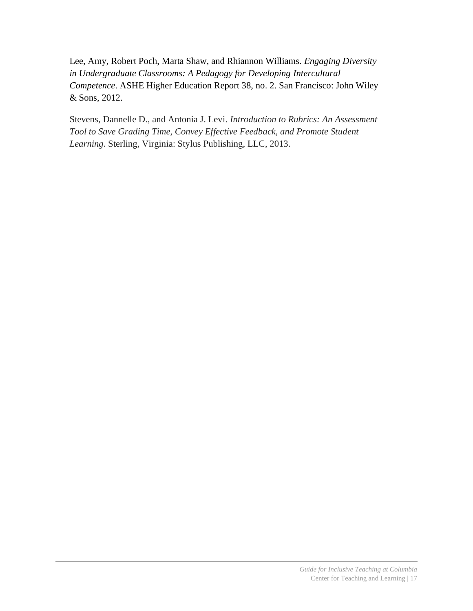Lee, Amy, Robert Poch, Marta Shaw, and Rhiannon Williams. *Engaging Diversity in Undergraduate Classrooms: A Pedagogy for Developing Intercultural Competence*. ASHE Higher Education Report 38, no. 2. San Francisco: John Wiley & Sons, 2012.

Stevens, Dannelle D., and Antonia J. Levi. *Introduction to Rubrics: An Assessment Tool to Save Grading Time, Convey Effective Feedback, and Promote Student Learning*. Sterling, Virginia: Stylus Publishing, LLC, 2013.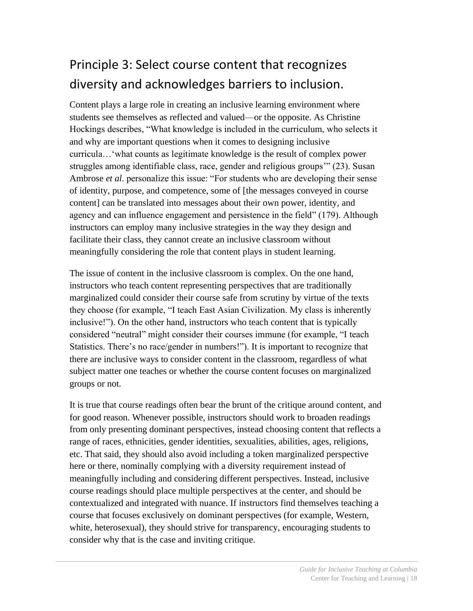# <span id="page-17-0"></span>Principle 3: Select course content that recognizes diversity and acknowledges barriers to inclusion.

Content plays a large role in creating an inclusive learning environment where students see themselves as reflected and valued—or the opposite. As Christine Hockings describes, "What knowledge is included in the curriculum, who selects it and why are important questions when it comes to designing inclusive curricula…'what counts as legitimate knowledge is the result of complex power struggles among identifiable class, race, gender and religious groups'" (23). Susan Ambrose *et al*. personalize this issue: "For students who are developing their sense of identity, purpose, and competence, some of [the messages conveyed in course content] can be translated into messages about their own power, identity, and agency and can influence engagement and persistence in the field" (179). Although instructors can employ many inclusive strategies in the way they design and facilitate their class, they cannot create an inclusive classroom without meaningfully considering the role that content plays in student learning.

The issue of content in the inclusive classroom is complex. On the one hand, instructors who teach content representing perspectives that are traditionally marginalized could consider their course safe from scrutiny by virtue of the texts they choose (for example, "I teach East Asian Civilization. My class is inherently inclusive!"). On the other hand, instructors who teach content that is typically considered "neutral" might consider their courses immune (for example, "I teach Statistics. There's no race/gender in numbers!"). It is important to recognize that there are inclusive ways to consider content in the classroom, regardless of what subject matter one teaches or whether the course content focuses on marginalized groups or not.

It is true that course readings often bear the brunt of the critique around content, and for good reason. Whenever possible, instructors should work to broaden readings from only presenting dominant perspectives, instead choosing content that reflects a range of races, ethnicities, gender identities, sexualities, abilities, ages, religions, etc. That said, they should also avoid including a token marginalized perspective here or there, nominally complying with a diversity requirement instead of meaningfully including and considering different perspectives. Instead, inclusive course readings should place multiple perspectives at the center, and should be contextualized and integrated with nuance. If instructors find themselves teaching a course that focuses exclusively on dominant perspectives (for example, Western, white, heterosexual), they should strive for transparency, encouraging students to consider why that is the case and inviting critique.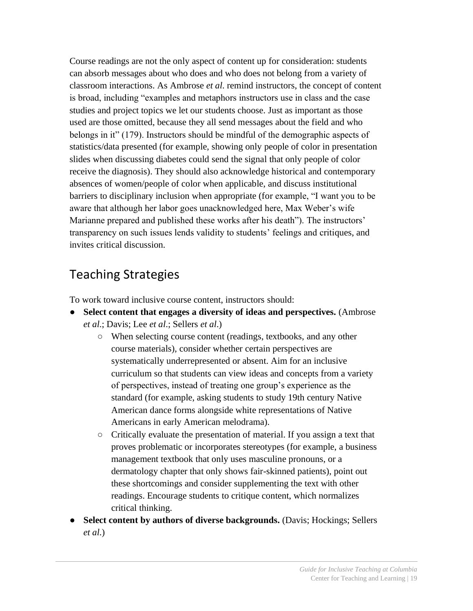Course readings are not the only aspect of content up for consideration: students can absorb messages about who does and who does not belong from a variety of classroom interactions. As Ambrose *et al*. remind instructors, the concept of content is broad, including "examples and metaphors instructors use in class and the case studies and project topics we let our students choose. Just as important as those used are those omitted, because they all send messages about the field and who belongs in it" (179). Instructors should be mindful of the demographic aspects of statistics/data presented (for example, showing only people of color in presentation slides when discussing diabetes could send the signal that only people of color receive the diagnosis). They should also acknowledge historical and contemporary absences of women/people of color when applicable, and discuss institutional barriers to disciplinary inclusion when appropriate (for example, "I want you to be aware that although her labor goes unacknowledged here, Max Weber's wife Marianne prepared and published these works after his death"). The instructors' transparency on such issues lends validity to students' feelings and critiques, and invites critical discussion.

## Teaching Strategies

To work toward inclusive course content, instructors should:

- **Select content that engages a diversity of ideas and perspectives.** (Ambrose *et al*.; Davis; Lee *et al*.; Sellers *et al*.)
	- When selecting course content (readings, textbooks, and any other course materials), consider whether certain perspectives are systematically underrepresented or absent. Aim for an inclusive curriculum so that students can view ideas and concepts from a variety of perspectives, instead of treating one group's experience as the standard (for example, asking students to study 19th century Native American dance forms alongside white representations of Native Americans in early American melodrama).
	- Critically evaluate the presentation of material. If you assign a text that proves problematic or incorporates stereotypes (for example, a business management textbook that only uses masculine pronouns, or a dermatology chapter that only shows fair-skinned patients), point out these shortcomings and consider supplementing the text with other readings. Encourage students to critique content, which normalizes critical thinking.
- **Select content by authors of diverse backgrounds. (Davis; Hockings; Sellers)** *et al*.)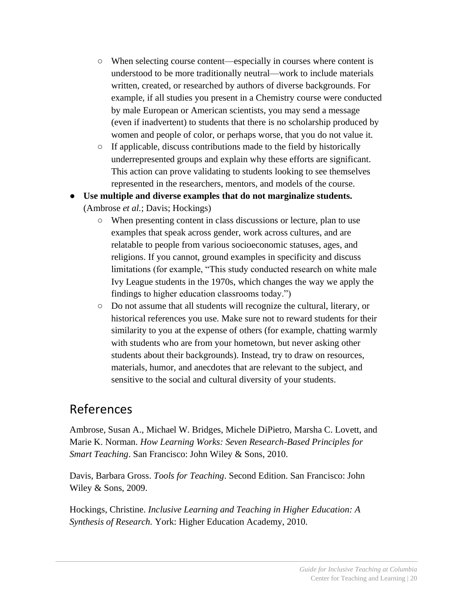- When selecting course content—especially in courses where content is understood to be more traditionally neutral—work to include materials written, created, or researched by authors of diverse backgrounds. For example, if all studies you present in a Chemistry course were conducted by male European or American scientists, you may send a message (even if inadvertent) to students that there is no scholarship produced by women and people of color, or perhaps worse, that you do not value it.
- If applicable, discuss contributions made to the field by historically underrepresented groups and explain why these efforts are significant. This action can prove validating to students looking to see themselves represented in the researchers, mentors, and models of the course.
- **Use multiple and diverse examples that do not marginalize students.** (Ambrose *et al.*; Davis; Hockings)
	- When presenting content in class discussions or lecture, plan to use examples that speak across gender, work across cultures, and are relatable to people from various socioeconomic statuses, ages, and religions. If you cannot, ground examples in specificity and discuss limitations (for example, "This study conducted research on white male Ivy League students in the 1970s, which changes the way we apply the findings to higher education classrooms today.")
	- Do not assume that all students will recognize the cultural, literary, or historical references you use. Make sure not to reward students for their similarity to you at the expense of others (for example, chatting warmly with students who are from your hometown, but never asking other students about their backgrounds). Instead, try to draw on resources, materials, humor, and anecdotes that are relevant to the subject, and sensitive to the social and cultural diversity of your students.

#### References

Ambrose, Susan A., Michael W. Bridges, Michele DiPietro, Marsha C. Lovett, and Marie K. Norman. *How Learning Works: Seven Research-Based Principles for Smart Teaching*. San Francisco: John Wiley & Sons, 2010.

Davis, Barbara Gross. *Tools for Teaching*. Second Edition. San Francisco: John Wiley & Sons, 2009.

Hockings, Christine. *Inclusive Learning and Teaching in Higher Education: A Synthesis of Research.* York: Higher Education Academy, 2010.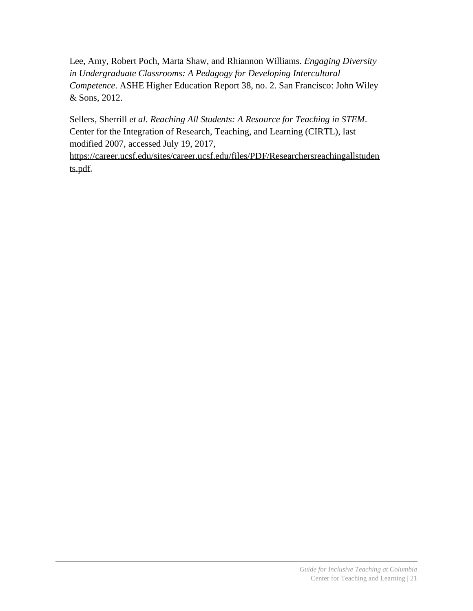Lee, Amy, Robert Poch, Marta Shaw, and Rhiannon Williams. *Engaging Diversity in Undergraduate Classrooms: A Pedagogy for Developing Intercultural Competence*. ASHE Higher Education Report 38, no. 2. San Francisco: John Wiley & Sons, 2012.

Sellers, Sherrill *et al*. *Reaching All Students: A Resource for Teaching in STEM*. Center for the Integration of Research, Teaching, and Learning (CIRTL), last modified 2007, accessed July 19, 2017,

[https://career.ucsf.edu/sites/career.ucsf.edu/files/PDF/Researchersreachingallstuden](https://career.ucsf.edu/sites/career.ucsf.edu/files/PDF/Researchersreachingallstudents.pdf) [ts.pdf.](https://career.ucsf.edu/sites/career.ucsf.edu/files/PDF/Researchersreachingallstudents.pdf)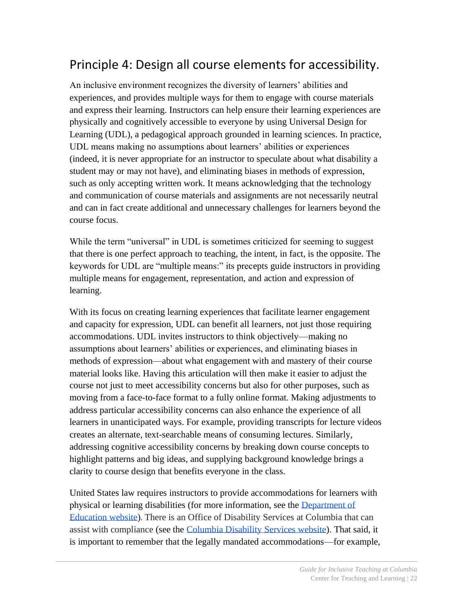# <span id="page-21-0"></span>Principle 4: Design all course elements for accessibility.

An inclusive environment recognizes the diversity of learners' abilities and experiences, and provides multiple ways for them to engage with course materials and express their learning. Instructors can help ensure their learning experiences are physically and cognitively accessible to everyone by using Universal Design for Learning (UDL), a pedagogical approach grounded in learning sciences. In practice, UDL means making no assumptions about learners' abilities or experiences (indeed, it is never appropriate for an instructor to speculate about what disability a student may or may not have), and eliminating biases in methods of expression, such as only accepting written work. It means acknowledging that the technology and communication of course materials and assignments are not necessarily neutral and can in fact create additional and unnecessary challenges for learners beyond the course focus.

While the term "universal" in UDL is sometimes criticized for seeming to suggest that there is one perfect approach to teaching, the intent, in fact, is the opposite. The keywords for UDL are "multiple means:" its precepts guide instructors in providing multiple means for engagement, representation, and action and expression of learning.

With its focus on creating learning experiences that facilitate learner engagement and capacity for expression, UDL can benefit all learners, not just those requiring accommodations. UDL invites instructors to think objectively—making no assumptions about learners' abilities or experiences, and eliminating biases in methods of expression—about what engagement with and mastery of their course material looks like. Having this articulation will then make it easier to adjust the course not just to meet accessibility concerns but also for other purposes, such as moving from a face-to-face format to a fully online format. Making adjustments to address particular accessibility concerns can also enhance the experience of all learners in unanticipated ways. For example, providing transcripts for lecture videos creates an alternate, text-searchable means of consuming lectures. Similarly, addressing cognitive accessibility concerns by breaking down course concepts to highlight patterns and big ideas, and supplying background knowledge brings a clarity to course design that benefits everyone in the class.

United States law requires instructors to provide accommodations for learners with physical or learning disabilities (for more information, see the [Department of](https://www2.ed.gov/about/offices/list/ocr/docs/auxaids.html)  [Education website\)](https://www2.ed.gov/about/offices/list/ocr/docs/auxaids.html). There is an Office of Disability Services at Columbia that can assist with compliance (see the [Columbia Disability Services website\)](https://health.columbia.edu/disability-services). That said, it is important to remember that the legally mandated accommodations—for example,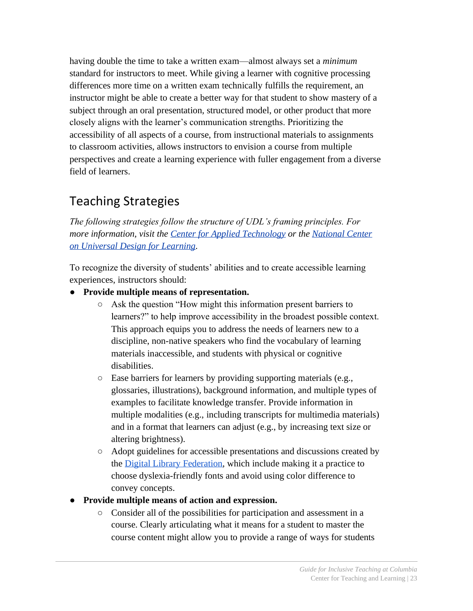having double the time to take a written exam—almost always set a *minimum* standard for instructors to meet. While giving a learner with cognitive processing differences more time on a written exam technically fulfills the requirement, an instructor might be able to create a better way for that student to show mastery of a subject through an oral presentation, structured model, or other product that more closely aligns with the learner's communication strengths. Prioritizing the accessibility of all aspects of a course, from instructional materials to assignments to classroom activities, allows instructors to envision a course from multiple perspectives and create a learning experience with fuller engagement from a diverse field of learners.

# Teaching Strategies

*The following strategies follow the structure of UDL's framing principles. For more information, visit the [Center for Applied Technology](http://www.cast.org/) or the [National Center](http://www.udlcenter.org/)  [on Universal Design for Learning.](http://www.udlcenter.org/)*

To recognize the diversity of students' abilities and to create accessible learning experiences, instructors should:

- **Provide multiple means of representation.**
	- Ask the question "How might this information present barriers to learners?" to help improve accessibility in the broadest possible context. This approach equips you to address the needs of learners new to a discipline, non-native speakers who find the vocabulary of learning materials inaccessible, and students with physical or cognitive disabilities.
	- Ease barriers for learners by providing supporting materials (e.g., glossaries, illustrations), background information, and multiple types of examples to facilitate knowledge transfer. Provide information in multiple modalities (e.g., including transcripts for multimedia materials) and in a format that learners can adjust (e.g., by increasing text size or altering brightness).
	- Adopt guidelines for accessible presentations and discussions created by the [Digital Library Federation,](https://www.diglib.org/forums/2016forum/guide-to-creating-accessible-presentations/) which include making it a practice to choose dyslexia-friendly fonts and avoid using color difference to convey concepts.
- **Provide multiple means of action and expression.**
	- Consider all of the possibilities for participation and assessment in a course. Clearly articulating what it means for a student to master the course content might allow you to provide a range of ways for students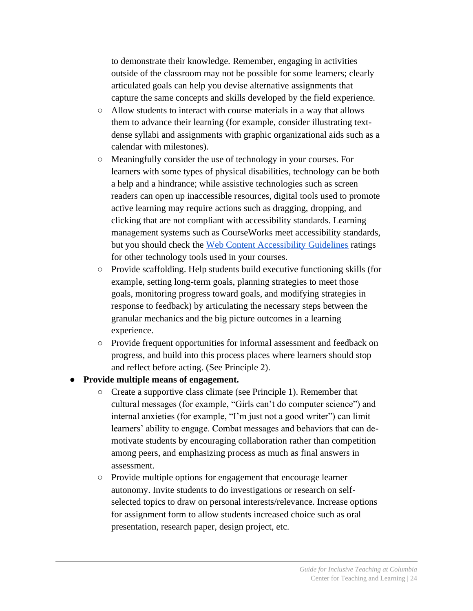to demonstrate their knowledge. Remember, engaging in activities outside of the classroom may not be possible for some learners; clearly articulated goals can help you devise alternative assignments that capture the same concepts and skills developed by the field experience.

- Allow students to interact with course materials in a way that allows them to advance their learning (for example, consider illustrating textdense syllabi and assignments with graphic organizational aids such as a calendar with milestones).
- Meaningfully consider the use of technology in your courses. For learners with some types of physical disabilities, technology can be both a help and a hindrance; while assistive technologies such as screen readers can open up inaccessible resources, digital tools used to promote active learning may require actions such as dragging, dropping, and clicking that are not compliant with accessibility standards. Learning management systems such as CourseWorks meet accessibility standards, but you should check the [Web Content Accessibility Guidelines](https://www.w3.org/WAI/intro/wcag) ratings for other technology tools used in your courses.
- Provide scaffolding. Help students build executive functioning skills (for example, setting long-term goals, planning strategies to meet those goals, monitoring progress toward goals, and modifying strategies in response to feedback) by articulating the necessary steps between the granular mechanics and the big picture outcomes in a learning experience.
- Provide frequent opportunities for informal assessment and feedback on progress, and build into this process places where learners should stop and reflect before acting. (See Principle 2).

#### ● **Provide multiple means of engagement.**

- Create a supportive class climate (see Principle 1). Remember that cultural messages (for example, "Girls can't do computer science") and internal anxieties (for example, "I'm just not a good writer") can limit learners' ability to engage. Combat messages and behaviors that can demotivate students by encouraging collaboration rather than competition among peers, and emphasizing process as much as final answers in assessment.
- Provide multiple options for engagement that encourage learner autonomy. Invite students to do investigations or research on selfselected topics to draw on personal interests/relevance. Increase options for assignment form to allow students increased choice such as oral presentation, research paper, design project, etc.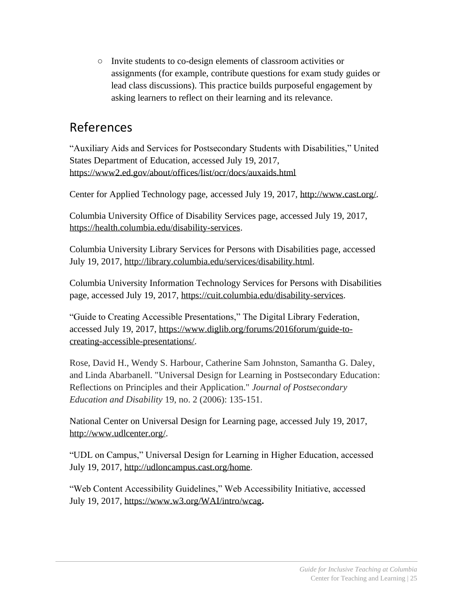○ Invite students to co-design elements of classroom activities or assignments (for example, contribute questions for exam study guides or lead class discussions). This practice builds purposeful engagement by asking learners to reflect on their learning and its relevance.

#### References

"Auxiliary Aids and Services for Postsecondary Students with Disabilities," United States Department of Education, accessed July 19, 2017, <https://www2.ed.gov/about/offices/list/ocr/docs/auxaids.html>

Center for Applied Technology page, accessed July 19, 2017, [http://www.cast.org/.](http://www.cast.org/)

Columbia University Office of Disability Services page, accessed July 19, 2017, [https://health.columbia.edu/disability-services.](https://health.columbia.edu/disability-services)

Columbia University Library Services for Persons with Disabilities page, accessed July 19, 2017, [http://library.columbia.edu/services/disability.html.](http://library.columbia.edu/services/disability.html)

Columbia University Information Technology Services for Persons with Disabilities page, accessed July 19, 2017, [https://cuit.columbia.edu/disability-services.](https://cuit.columbia.edu/disability-services)

"Guide to Creating Accessible Presentations," The Digital Library Federation, accessed July 19, 2017, [https://www.diglib.org/forums/2016forum/guide-to](https://www.diglib.org/forums/2016forum/guide-to-creating-accessible-presentations/)[creating-accessible-presentations/.](https://www.diglib.org/forums/2016forum/guide-to-creating-accessible-presentations/)

Rose, David H., Wendy S. Harbour, Catherine Sam Johnston, Samantha G. Daley, and Linda Abarbanell. "Universal Design for Learning in Postsecondary Education: Reflections on Principles and their Application." *Journal of Postsecondary Education and Disability* 19, no. 2 (2006): 135-151.

National Center on Universal Design for Learning page, accessed July 19, 2017, [http://www.udlcenter.org/.](http://www.udlcenter.org/)

"UDL on Campus," Universal Design for Learning in Higher Education, accessed July 19, 2017, [http://udloncampus.cast.org/home.](http://udloncampus.cast.org/home)

"Web Content Accessibility Guidelines," Web Accessibility Initiative, accessed July 19, 2017,<https://www.w3.org/WAI/intro/wcag>**.**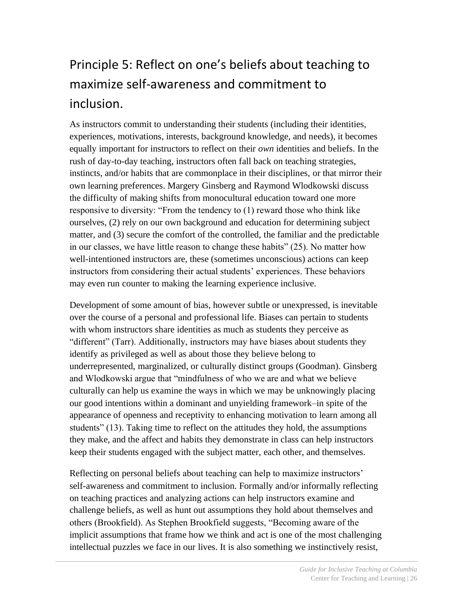# <span id="page-25-0"></span>Principle 5: Reflect on one's beliefs about teaching to maximize self-awareness and commitment to inclusion.

As instructors commit to understanding their students (including their identities, experiences, motivations, interests, background knowledge, and needs), it becomes equally important for instructors to reflect on their *own* identities and beliefs. In the rush of day-to-day teaching, instructors often fall back on teaching strategies, instincts, and/or habits that are commonplace in their disciplines, or that mirror their own learning preferences. Margery Ginsberg and Raymond Wlodkowski discuss the difficulty of making shifts from monocultural education toward one more responsive to diversity: "From the tendency to (1) reward those who think like ourselves, (2) rely on our own background and education for determining subject matter, and (3) secure the comfort of the controlled, the familiar and the predictable in our classes, we have little reason to change these habits" (25). No matter how well-intentioned instructors are, these (sometimes unconscious) actions can keep instructors from considering their actual students' experiences. These behaviors may even run counter to making the learning experience inclusive.

Development of some amount of bias, however subtle or unexpressed, is inevitable over the course of a personal and professional life. Biases can pertain to students with whom instructors share identities as much as students they perceive as "different" (Tarr). Additionally, instructors may have biases about students they identify as privileged as well as about those they believe belong to underrepresented, marginalized, or culturally distinct groups (Goodman). Ginsberg and Wlodkowski argue that "mindfulness of who we are and what we believe culturally can help us examine the ways in which we may be unknowingly placing our good intentions within a dominant and unyielding framework–in spite of the appearance of openness and receptivity to enhancing motivation to learn among all students" (13). Taking time to reflect on the attitudes they hold, the assumptions they make, and the affect and habits they demonstrate in class can help instructors keep their students engaged with the subject matter, each other, and themselves.

Reflecting on personal beliefs about teaching can help to maximize instructors' self-awareness and commitment to inclusion. Formally and/or informally reflecting on teaching practices and analyzing actions can help instructors examine and challenge beliefs, as well as hunt out assumptions they hold about themselves and others (Brookfield). As Stephen Brookfield suggests, "Becoming aware of the implicit assumptions that frame how we think and act is one of the most challenging intellectual puzzles we face in our lives. It is also something we instinctively resist,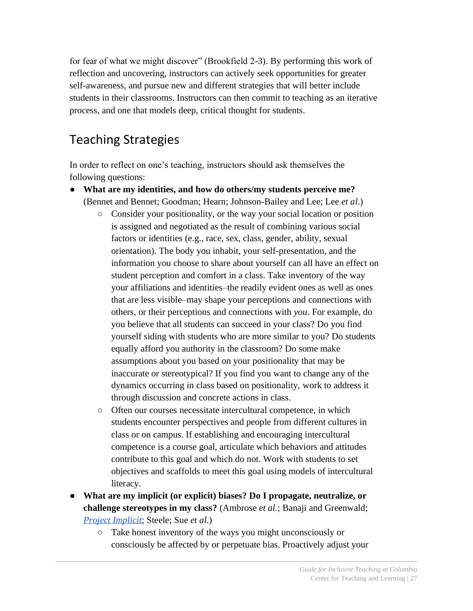for fear of what we might discover" (Brookfield 2-3). By performing this work of reflection and uncovering, instructors can actively seek opportunities for greater self-awareness, and pursue new and different strategies that will better include students in their classrooms. Instructors can then commit to teaching as an iterative process, and one that models deep, critical thought for students.

# Teaching Strategies

In order to reflect on one's teaching, instructors should ask themselves the following questions:

- **What are my identities, and how do others/my students perceive me?**  (Bennet and Bennet; Goodman; Hearn; Johnson-Bailey and Lee; Lee *et al*.)
	- Consider your positionality, or the way your social location or position is assigned and negotiated as the result of combining various social factors or identities (e.g., race, sex, class, gender, ability, sexual orientation). The body you inhabit, your self-presentation, and the information you choose to share about yourself can all have an effect on student perception and comfort in a class. Take inventory of the way your affiliations and identities–the readily evident ones as well as ones that are less visible–may shape your perceptions and connections with others, or their perceptions and connections with *you*. For example, do you believe that all students can succeed in your class? Do you find yourself siding with students who are more similar to you? Do students equally afford you authority in the classroom? Do some make assumptions about you based on your positionality that may be inaccurate or stereotypical? If you find you want to change any of the dynamics occurring in class based on positionality, work to address it through discussion and concrete actions in class.
	- Often our courses necessitate intercultural competence, in which students encounter perspectives and people from different cultures in class or on campus. If establishing and encouraging intercultural competence is a course goal, articulate which behaviors and attitudes contribute to this goal and which do not. Work with students to set objectives and scaffolds to meet this goal using models of intercultural literacy.
- **What are my implicit (or explicit) biases? Do I propagate, neutralize, or challenge stereotypes in my class?** (Ambrose *et al.*; Banaji and Greenwald; *[Project Implicit](https://implicit.harvard.edu/implicit/)*; Steele; Sue *et al*.)
	- Take honest inventory of the ways you might unconsciously or consciously be affected by or perpetuate bias. Proactively adjust your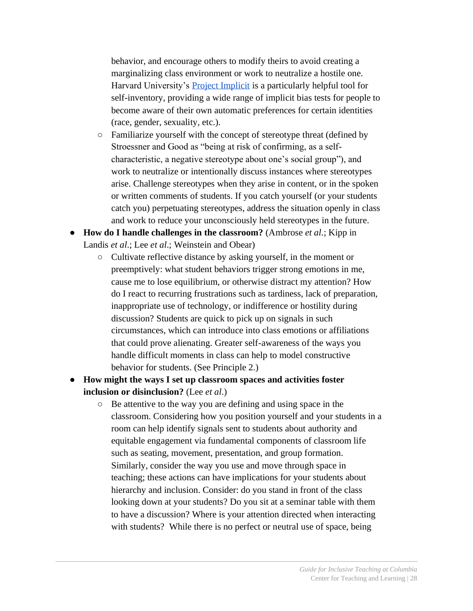behavior, and encourage others to modify theirs to avoid creating a marginalizing class environment or work to neutralize a hostile one. Harvard University's [Project Implicit](https://implicit.harvard.edu/implicit/) is a particularly helpful tool for self-inventory, providing a wide range of implicit bias tests for people to become aware of their own automatic preferences for certain identities (race, gender, sexuality, etc.).

- Familiarize yourself with the concept of stereotype threat (defined by Stroessner and Good as "being at risk of confirming, as a selfcharacteristic, a negative stereotype about one's social group"), and work to neutralize or intentionally discuss instances where stereotypes arise. Challenge stereotypes when they arise in content, or in the spoken or written comments of students. If you catch yourself (or your students catch you) perpetuating stereotypes, address the situation openly in class and work to reduce your unconsciously held stereotypes in the future.
- **How do I handle challenges in the classroom?** (Ambrose *et al*.; Kipp in Landis *et al*.; Lee *et al*.; Weinstein and Obear)
	- Cultivate reflective distance by asking yourself, in the moment or preemptively: what student behaviors trigger strong emotions in me, cause me to lose equilibrium, or otherwise distract my attention? How do I react to recurring frustrations such as tardiness, lack of preparation, inappropriate use of technology, or indifference or hostility during discussion? Students are quick to pick up on signals in such circumstances, which can introduce into class emotions or affiliations that could prove alienating. Greater self-awareness of the ways you handle difficult moments in class can help to model constructive behavior for students. (See Principle 2.)
- **How might the ways I set up classroom spaces and activities foster inclusion or disinclusion?** (Lee *et al*.)
	- Be attentive to the way you are defining and using space in the classroom. Considering how you position yourself and your students in a room can help identify signals sent to students about authority and equitable engagement via fundamental components of classroom life such as seating, movement, presentation, and group formation. Similarly, consider the way you use and move through space in teaching; these actions can have implications for your students about hierarchy and inclusion. Consider: do you stand in front of the class looking down at your students? Do you sit at a seminar table with them to have a discussion? Where is your attention directed when interacting with students? While there is no perfect or neutral use of space, being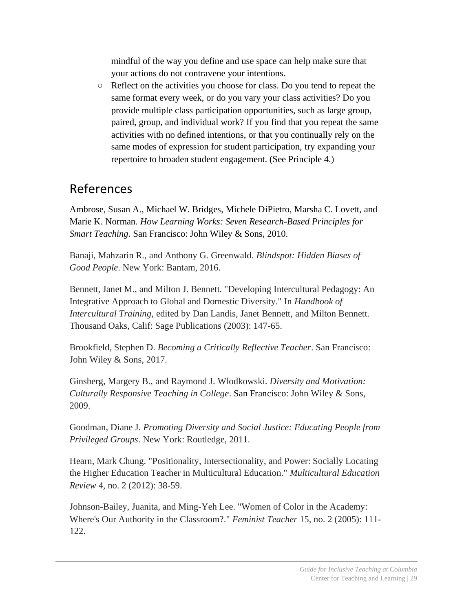mindful of the way you define and use space can help make sure that your actions do not contravene your intentions.

○ Reflect on the activities you choose for class. Do you tend to repeat the same format every week, or do you vary your class activities? Do you provide multiple class participation opportunities, such as large group, paired, group, and individual work? If you find that you repeat the same activities with no defined intentions, or that you continually rely on the same modes of expression for student participation, try expanding your repertoire to broaden student engagement. (See Principle 4.)

#### References

Ambrose, Susan A., Michael W. Bridges, Michele DiPietro, Marsha C. Lovett, and Marie K. Norman. *How Learning Works: Seven Research-Based Principles for Smart Teaching*. San Francisco: John Wiley & Sons, 2010.

Banaji, Mahzarin R., and Anthony G. Greenwald. *Blindspot: Hidden Biases of Good People*. New York: Bantam, 2016.

Bennett, Janet M., and Milton J. Bennett. "Developing Intercultural Pedagogy: An Integrative Approach to Global and Domestic Diversity." In *Handbook of Intercultural Training*, edited by Dan Landis, Janet Bennett, and Milton Bennett*.*  Thousand Oaks, Calif: Sage Publications (2003): 147-65.

Brookfield, Stephen D. *Becoming a Critically Reflective Teacher*. San Francisco: John Wiley & Sons, 2017.

Ginsberg, Margery B., and Raymond J. Wlodkowski. *Diversity and Motivation: Culturally Responsive Teaching in College*. San Francisco: John Wiley & Sons, 2009.

Goodman, Diane J. *Promoting Diversity and Social Justice: Educating People from Privileged Groups*. New York: Routledge, 2011.

Hearn, Mark Chung. "Positionality, Intersectionality, and Power: Socially Locating the Higher Education Teacher in Multicultural Education." *Multicultural Education Review* 4, no. 2 (2012): 38-59.

Johnson-Bailey, Juanita, and Ming-Yeh Lee. "Women of Color in the Academy: Where's Our Authority in the Classroom?." *Feminist Teacher* 15, no. 2 (2005): 111- 122.